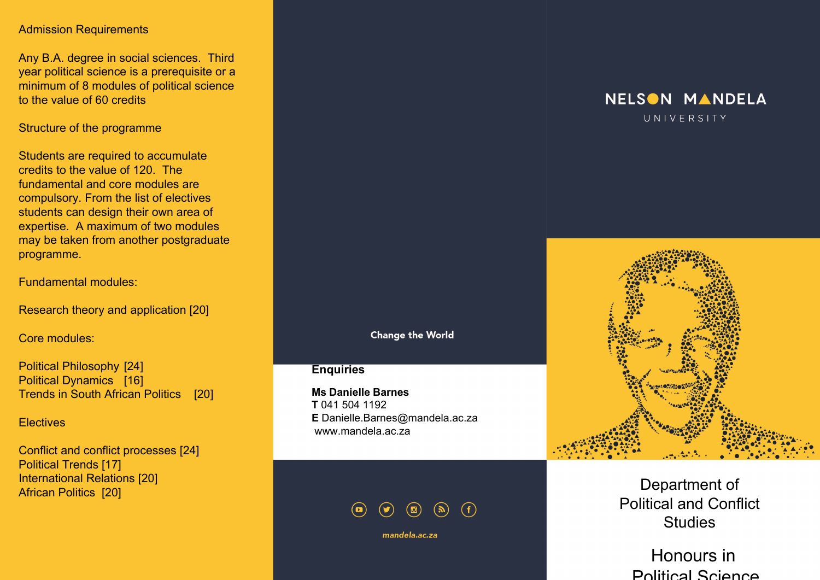#### Admission Requirements

Any B.A. degree in social sciences. Third year political science is a prerequisite or a minimum of 8 modules of political science to the value of 60 credits

## Structure of the programme

Students are required to accumulate credits to the value of 120. The fundamental and core modules are compulsory. From the list of electives students can design their own area of expertise. A maximum of two modules may be taken from another postgraduate programme.

#### Fundamental modules:

Research theory and application [20]

Core modules:

Political Philosophy [24] Political Dynamics [16] Trends in South African Politics [20]

**Electives** 

Conflict and conflict processes [24] Political Trends [17] International Relations [20] African Politics [20]

## **Change the World**

# **Enquiries**

**Ms Danielle Barnes T** 041 504 1192 **E** Danielle.Barnes@mandela.ac.za www.mandela.ac.za



mandela.ac.za

# NELSON MANDELA UNIVERSITY



Department of Political and Conflict **Studies** 

Honours in Political Science